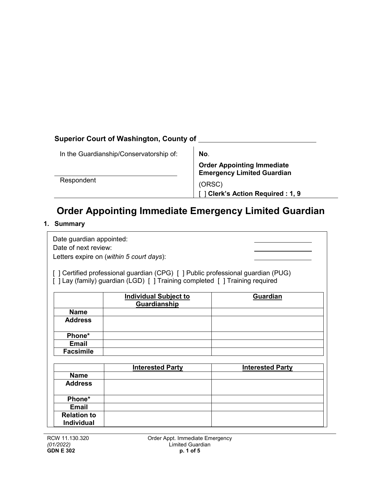# **Superior Court of Washington, County of**

| In the Guardianship/Conservatorship of: | No.                                                                    |  |
|-----------------------------------------|------------------------------------------------------------------------|--|
|                                         | <b>Order Appointing Immediate</b><br><b>Emergency Limited Guardian</b> |  |
| Respondent                              | (ORSC)<br>Clerk's Action Required : 1, 9                               |  |

# **Order Appointing Immediate Emergency Limited Guardian**

# **1. Summary**

Date guardian appointed: Date of next review: Letters expire on (*within 5 court days*):

[ ] Certified professional guardian (CPG) [ ] Public professional guardian (PUG) [ ] Lay (family) guardian (LGD) [ ] Training completed [ ] Training required

|                    | <b>Individual Subject to</b> | Guardian                |
|--------------------|------------------------------|-------------------------|
|                    | Guardianship                 |                         |
| <b>Name</b>        |                              |                         |
| <b>Address</b>     |                              |                         |
| Phone*             |                              |                         |
| <b>Email</b>       |                              |                         |
| <b>Facsimile</b>   |                              |                         |
|                    |                              |                         |
|                    | <b>Interested Party</b>      | <b>Interested Party</b> |
| <b>Name</b>        |                              |                         |
|                    |                              |                         |
| <b>Address</b>     |                              |                         |
|                    |                              |                         |
| Phone*             |                              |                         |
| <b>Email</b>       |                              |                         |
| <b>Relation to</b> |                              |                         |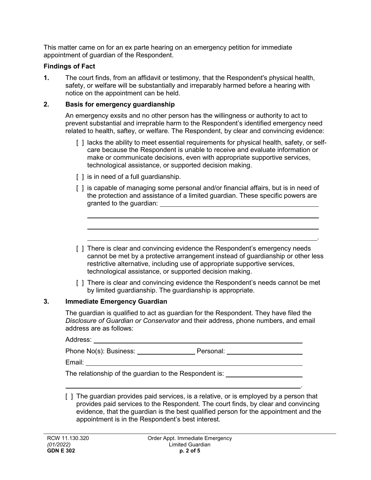This matter came on for an ex parte hearing on an emergency petition for immediate appointment of guardian of the Respondent.

# **Findings of Fact**

**1.** The court finds, from an affidavit or testimony, that the Respondent's physical health, safety, or welfare will be substantially and irreparably harmed before a hearing with notice on the appointment can be held.

#### **2. Basis for emergency guardianship**

An emergency exsits and no other person has the willingness or authority to act to prevent substantial and irreprable harm to the Respondent's identified emergency need related to health, saftey, or welfare. The Respondent, by clear and convincing evidence:

- [ ] lacks the ability to meet essential requirements for physical health, safety, or selfcare because the Respondent is unable to receive and evaluate information or make or communicate decisions, even with appropriate supportive services, technological assistance, or supported decision making.
- [ ] is in need of a full guardianship.
- [ ] is capable of managing some personal and/or financial affairs, but is in need of the protection and assistance of a limited guardian. These specific powers are granted to the guardian:
- [ ] There is clear and convincing evidence the Respondent's emergency needs cannot be met by a protective arrangement instead of guardianship or other less restrictive alternative, including use of appropriate supportive services, technological assistance, or supported decision making.

.

.

[ ] There is clear and convincing evidence the Respondent's needs cannot be met by limited guardianship. The guardianship is appropriate.

# **3. Immediate Emergency Guardian**

The guardian is qualified to act as guardian for the Respondent. They have filed the *Disclosure of Guardian or Conservator* and their address, phone numbers, and email address are as follows:

| Address:               |           |  |
|------------------------|-----------|--|
| Phone No(s): Business: | Personal: |  |

Email:

The relationship of the guardian to the Respondent is:

[ ] The guardian provides paid services, is a relative, or is employed by a person that provides paid services to the Respondent. The court finds, by clear and convincing evidence, that the guardian is the best qualified person for the appointment and the appointment is in the Respondent's best interest.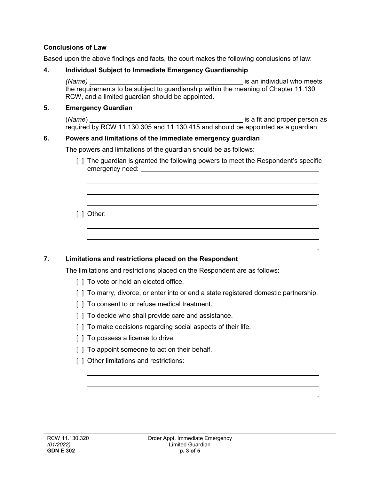# **Conclusions of Law**

Based upon the above findings and facts, the court makes the following conclusions of law:

#### **4. Individual Subject to Immediate Emergency Guardianship**

*(Name)* is an individual who meets the requirements to be subject to guardianship within the meaning of Chapter 11.130 RCW, and a limited guardian should be appointed.

#### **5. Emergency Guardian**

(*Name*) **is a fit and proper person as** is a fit and proper person as required by RCW 11.130.305 and 11.130.415 and should be appointed as a guardian.

#### **6. Powers and limitations of the immediate emergency guardian**

The powers and limitations of the guardian should be as follows:

[ ] The guardian is granted the following powers to meet the Respondent's specific emergency need: **container and the emergency need:**  $\blacksquare$ 

.

.

.

[ ] Other:

# **7. Limitations and restrictions placed on the Respondent**

The limitations and restrictions placed on the Respondent are as follows:

- [ ] To vote or hold an elected office.
- [ ] To marry, divorce, or enter into or end a state registered domestic partnership.
- [  $\vert$  ] To consent to or refuse medical treatment.
- [ ] To decide who shall provide care and assistance.
- [ ] To make decisions regarding social aspects of their life.
- [ ] To possess a license to drive.
- [ ] To appoint someone to act on their behalf.
- [ ] Other limitations and restrictions: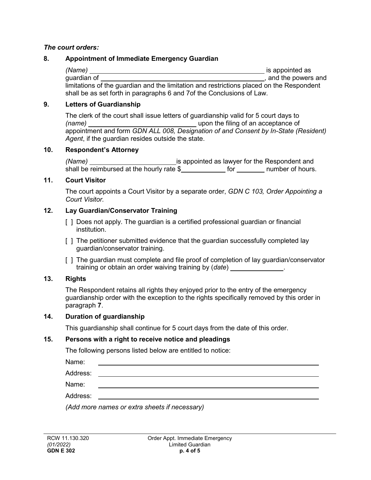#### *The court orders:*

# **8. Appointment of Immediate Emergency Guardian**

*(Name)* is appointed as guardian of , and the powers and limitations of the guardian and the limitation and restrictions placed on the Respondent shall be as set forth in paragraphs 6 and 7of the Conclusions of Law.

#### **9. Letters of Guardianship**

The clerk of the court shall issue letters of guardianship valid for 5 court days to *(name)* upon the filing of an acceptance of appointment and form *GDN ALL 008, Designation of and Consent by In-State (Resident) Agent*, if the guardian resides outside the state.

#### **10. Respondent's Attorney**

*(Name)* is appointed as lawyer for the Respondent and shall be reimbursed at the hourly rate  $\frac{1}{2}$  for  $\frac{1}{2}$  for  $\frac{1}{2}$  number of hours.

#### **11. Court Visitor**

The court appoints a Court Visitor by a separate order, *GDN C 103, Order Appointing a Court Visitor.*

# **12. Lay Guardian/Conservator Training**

- [ ] Does not apply. The guardian is a certified professional guardian or financial institution.
- [ ] The petitioner submitted evidence that the guardian successfully completed lay guardian/conservator training.
- [] The guardian must complete and file proof of completion of lay guardian/conservator training or obtain an order waiving training by (*date*) .

# **13. Rights**

The Respondent retains all rights they enjoyed prior to the entry of the emergency guardianship order with the exception to the rights specifically removed by this order in paragraph **7**.

# **14. Duration of guardianship**

This guardianship shall continue for 5 court days from the date of this order.

#### **15. Persons with a right to receive notice and pleadings**

The following persons listed below are entitled to notice:

Name:

Address: \_\_\_\_\_\_\_

Name:

Address:

*(Add more names or extra sheets if necessary)*